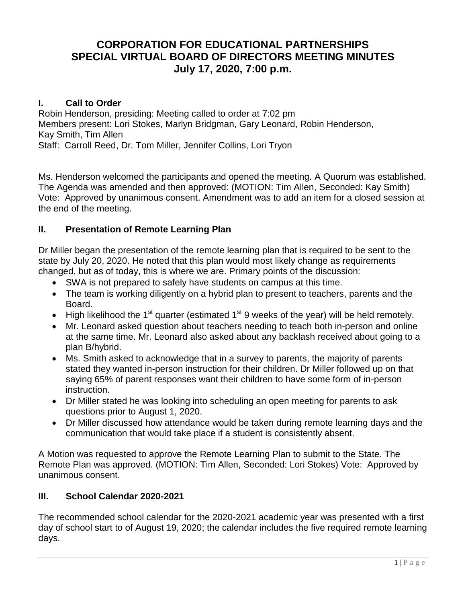# **CORPORATION FOR EDUCATIONAL PARTNERSHIPS SPECIAL VIRTUAL BOARD OF DIRECTORS MEETING MINUTES July 17, 2020, 7:00 p.m.**

### **I. Call to Order**

Robin Henderson, presiding: Meeting called to order at 7:02 pm Members present: Lori Stokes, Marlyn Bridgman, Gary Leonard, Robin Henderson, Kay Smith, Tim Allen Staff: Carroll Reed, Dr. Tom Miller, Jennifer Collins, Lori Tryon

Ms. Henderson welcomed the participants and opened the meeting. A Quorum was established. The Agenda was amended and then approved: (MOTION: Tim Allen, Seconded: Kay Smith) Vote: Approved by unanimous consent. Amendment was to add an item for a closed session at the end of the meeting.

## **II. Presentation of Remote Learning Plan**

Dr Miller began the presentation of the remote learning plan that is required to be sent to the state by July 20, 2020. He noted that this plan would most likely change as requirements changed, but as of today, this is where we are. Primary points of the discussion:

- SWA is not prepared to safely have students on campus at this time.
- The team is working diligently on a hybrid plan to present to teachers, parents and the Board.
- $\bullet$  High likelihood the 1<sup>st</sup> quarter (estimated 1<sup>st</sup> 9 weeks of the year) will be held remotely.
- Mr. Leonard asked question about teachers needing to teach both in-person and online at the same time. Mr. Leonard also asked about any backlash received about going to a plan B/hybrid.
- Ms. Smith asked to acknowledge that in a survey to parents, the majority of parents stated they wanted in-person instruction for their children. Dr Miller followed up on that saying 65% of parent responses want their children to have some form of in-person instruction.
- Dr Miller stated he was looking into scheduling an open meeting for parents to ask questions prior to August 1, 2020.
- Dr Miller discussed how attendance would be taken during remote learning days and the communication that would take place if a student is consistently absent.

A Motion was requested to approve the Remote Learning Plan to submit to the State. The Remote Plan was approved. (MOTION: Tim Allen, Seconded: Lori Stokes) Vote: Approved by unanimous consent.

### **III. School Calendar 2020-2021**

The recommended school calendar for the 2020-2021 academic year was presented with a first day of school start to of August 19, 2020; the calendar includes the five required remote learning days.